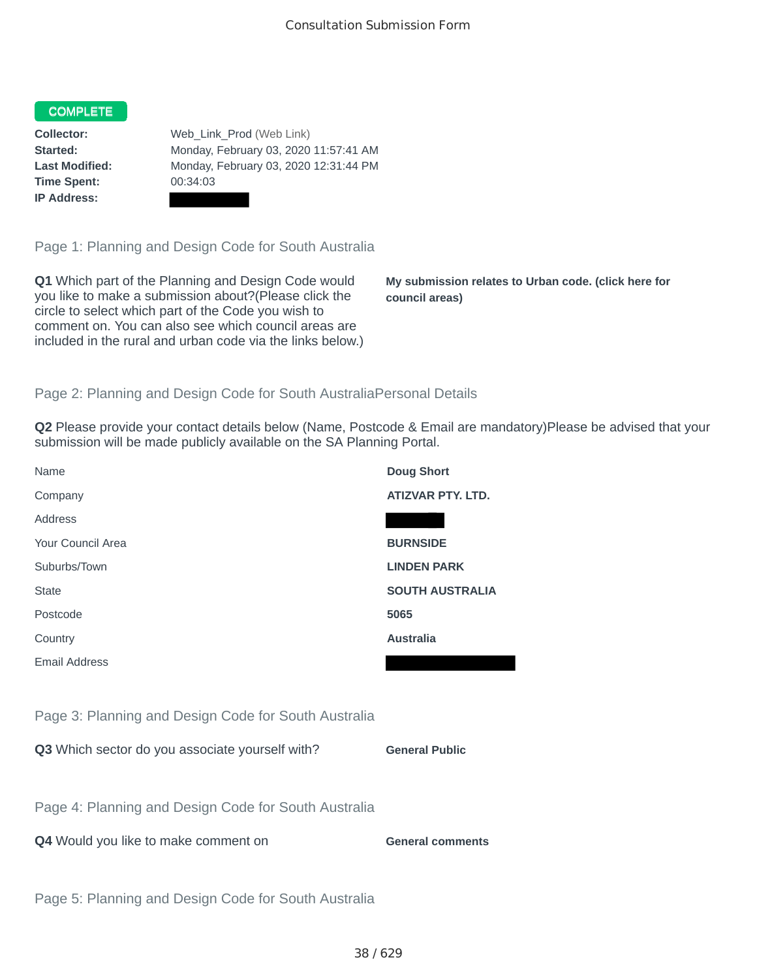## COMPLETE

**Time Spent:** 00:34:03 **IP Address:**

**Collector:** Web\_Link\_Prod (Web Link) **Started:** Monday, February 03, 2020 11:57:41 AM **Last Modified:** Monday, February 03, 2020 12:31:44 PM

Page 1: Planning and Design Code for South Australia

**Q1** Which part of the Planning and Design Code would you like to make a submission about?(Please click the circle to select which part of the Code you wish to comment on. You can also see which council areas are included in the rural and urban code via the links below.)

**My submission relates to Urban code. (click here for council areas)**

## Page 2: Planning and Design Code for South AustraliaPersonal Details

**Q2** Please provide your contact details below (Name, Postcode & Email are mandatory)Please be advised that your submission will be made publicly available on the SA Planning Portal.

| Name                                                 | <b>Doug Short</b>        |
|------------------------------------------------------|--------------------------|
| Company                                              | <b>ATIZVAR PTY, LTD.</b> |
| Address                                              |                          |
| Your Council Area                                    | <b>BURNSIDE</b>          |
| Suburbs/Town                                         | <b>LINDEN PARK</b>       |
| <b>State</b>                                         | <b>SOUTH AUSTRALIA</b>   |
| Postcode                                             | 5065                     |
| Country                                              | <b>Australia</b>         |
| <b>Email Address</b>                                 |                          |
|                                                      |                          |
| Page 3: Planning and Design Code for South Australia |                          |
| Q3 Which sector do you associate yourself with?      | <b>General Public</b>    |
|                                                      |                          |
| Page 4: Planning and Design Code for South Australia |                          |
| Q4 Would you like to make comment on                 | <b>General comments</b>  |
|                                                      |                          |
| Page 5: Planning and Design Code for South Australia |                          |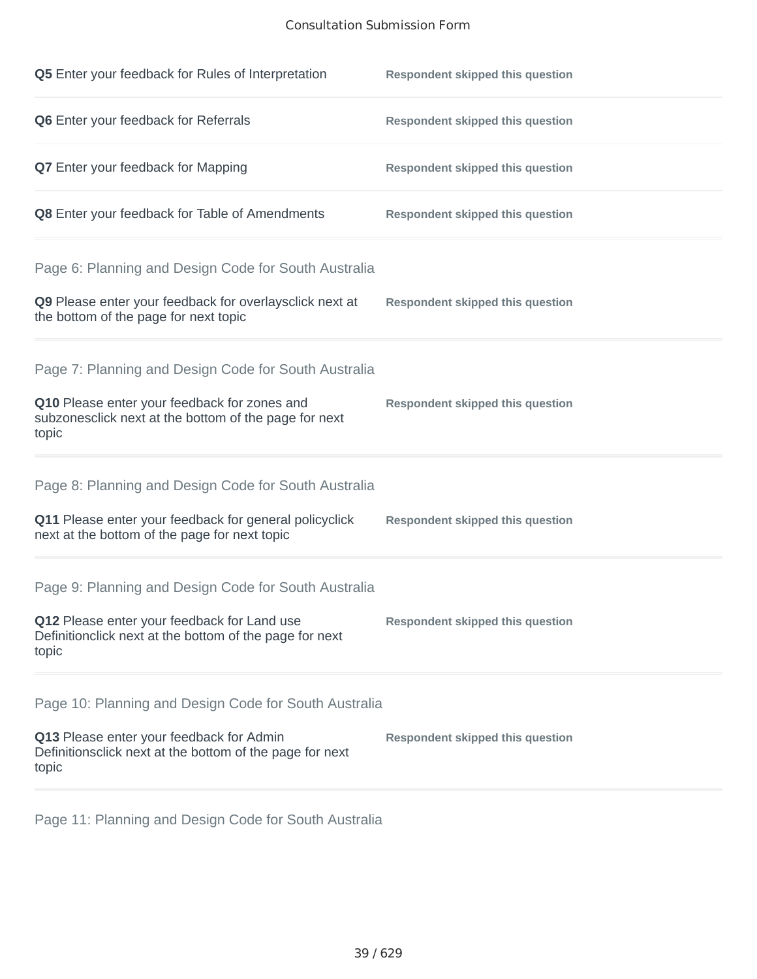## Consultation Submission Form

| Q5 Enter your feedback for Rules of Interpretation                                                              | <b>Respondent skipped this question</b> |
|-----------------------------------------------------------------------------------------------------------------|-----------------------------------------|
| Q6 Enter your feedback for Referrals                                                                            | <b>Respondent skipped this question</b> |
| <b>Q7</b> Enter your feedback for Mapping                                                                       | <b>Respondent skipped this question</b> |
| Q8 Enter your feedback for Table of Amendments                                                                  | <b>Respondent skipped this question</b> |
| Page 6: Planning and Design Code for South Australia                                                            |                                         |
| Q9 Please enter your feedback for overlaysclick next at<br>the bottom of the page for next topic                | <b>Respondent skipped this question</b> |
| Page 7: Planning and Design Code for South Australia                                                            |                                         |
| Q10 Please enter your feedback for zones and<br>subzonesclick next at the bottom of the page for next<br>topic  | <b>Respondent skipped this question</b> |
| Page 8: Planning and Design Code for South Australia                                                            |                                         |
| Q11 Please enter your feedback for general policyclick<br>next at the bottom of the page for next topic         | <b>Respondent skipped this question</b> |
| Page 9: Planning and Design Code for South Australia                                                            |                                         |
| Q12 Please enter your feedback for Land use<br>Definitionclick next at the bottom of the page for next<br>topic | <b>Respondent skipped this question</b> |
| Page 10: Planning and Design Code for South Australia                                                           |                                         |
| Q13 Please enter your feedback for Admin<br>Definitionsclick next at the bottom of the page for next<br>topic   | <b>Respondent skipped this question</b> |

Page 11: Planning and Design Code for South Australia